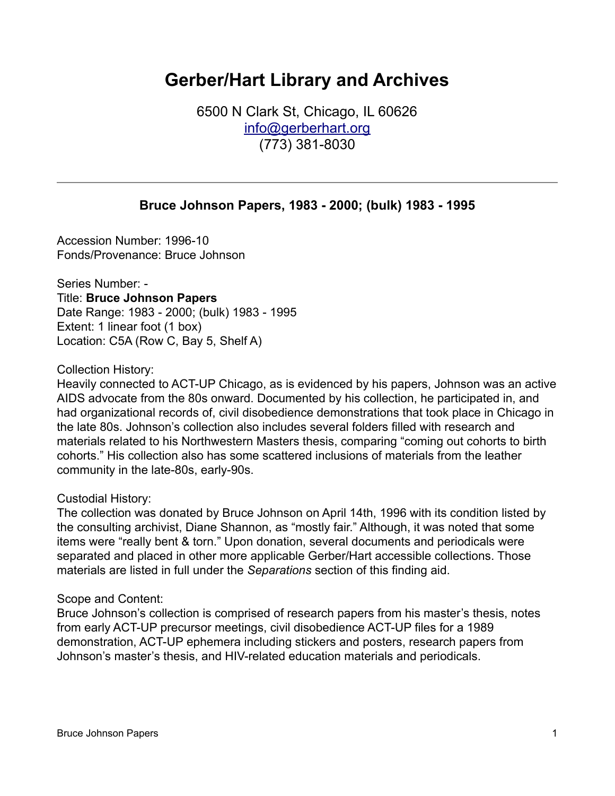# **Gerber/Hart Library and Archives**

6500 N Clark St, Chicago, IL 60626 [info@gerberhart.org](mailto:info@gerberhart.org) (773) 381-8030

# **Bruce Johnson Papers, 1983 - 2000; (bulk) 1983 - 1995**

Accession Number: 1996-10 Fonds/Provenance: Bruce Johnson

Series Number: - Title: **Bruce Johnson Papers** Date Range: 1983 - 2000; (bulk) 1983 - 1995 Extent: 1 linear foot (1 box) Location: C5A (Row C, Bay 5, Shelf A)

Collection History:

Heavily connected to ACT-UP Chicago, as is evidenced by his papers, Johnson was an active AIDS advocate from the 80s onward. Documented by his collection, he participated in, and had organizational records of, civil disobedience demonstrations that took place in Chicago in the late 80s. Johnson's collection also includes several folders filled with research and materials related to his Northwestern Masters thesis, comparing "coming out cohorts to birth cohorts." His collection also has some scattered inclusions of materials from the leather community in the late-80s, early-90s.

### Custodial History:

The collection was donated by Bruce Johnson on April 14th, 1996 with its condition listed by the consulting archivist, Diane Shannon, as "mostly fair." Although, it was noted that some items were "really bent & torn." Upon donation, several documents and periodicals were separated and placed in other more applicable Gerber/Hart accessible collections. Those materials are listed in full under the *Separations* section of this finding aid.

#### Scope and Content:

Bruce Johnson's collection is comprised of research papers from his master's thesis, notes from early ACT-UP precursor meetings, civil disobedience ACT-UP files for a 1989 demonstration, ACT-UP ephemera including stickers and posters, research papers from Johnson's master's thesis, and HIV-related education materials and periodicals.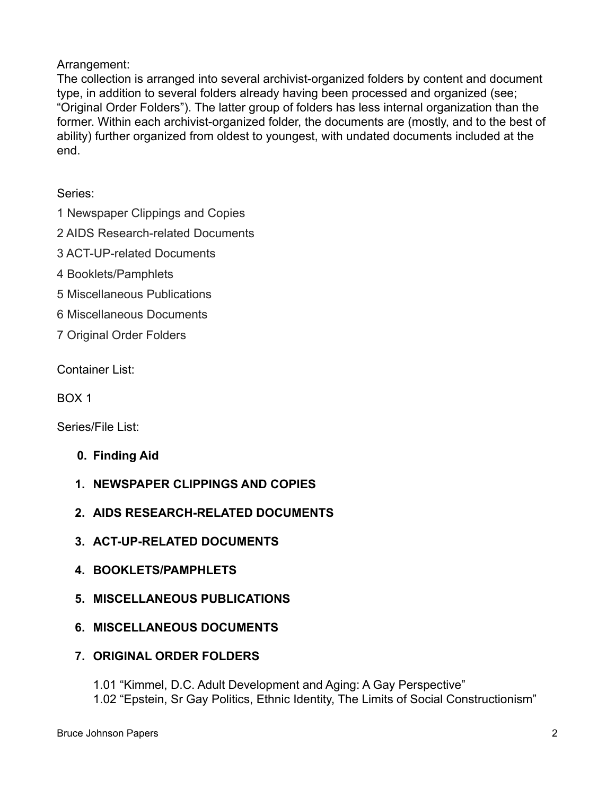# Arrangement:

The collection is arranged into several archivist-organized folders by content and document type, in addition to several folders already having been processed and organized (see; "Original Order Folders"). The latter group of folders has less internal organization than the former. Within each archivist-organized folder, the documents are (mostly, and to the best of ability) further organized from oldest to youngest, with undated documents included at the end.

Series:

- 1 Newspaper Clippings and Copies
- 2 AIDS Research-related Documents
- 3 ACT-UP-related Documents
- 4 Booklets/Pamphlets
- 5 Miscellaneous Publications
- 6 Miscellaneous Documents
- 7 Original Order Folders

Container List:

BOX 1

Series/File List:

- **0. Finding Aid**
- **1. NEWSPAPER CLIPPINGS AND COPIES**
- **2. AIDS RESEARCH-RELATED DOCUMENTS**
- **3. ACT-UP-RELATED DOCUMENTS**
- **4. BOOKLETS/PAMPHLETS**
- **5. MISCELLANEOUS PUBLICATIONS**
- **6. MISCELLANEOUS DOCUMENTS**
- **7. ORIGINAL ORDER FOLDERS**
	- 1.01 "Kimmel, D.C. Adult Development and Aging: A Gay Perspective"
	- 1.02 "Epstein, Sr Gay Politics, Ethnic Identity, The Limits of Social Constructionism"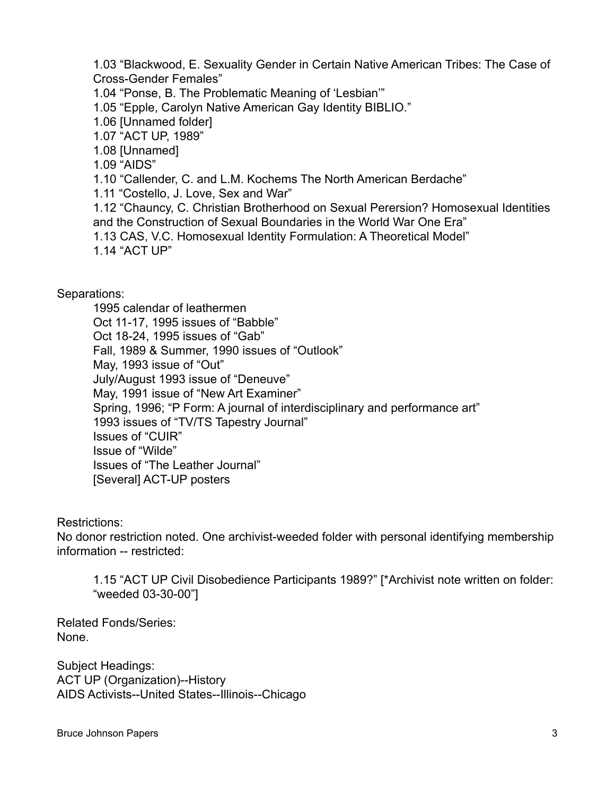1.03 "Blackwood, E. Sexuality Gender in Certain Native American Tribes: The Case of Cross-Gender Females"

1.04 "Ponse, B. The Problematic Meaning of 'Lesbian'"

1.05 "Epple, Carolyn Native American Gay Identity BIBLIO."

1.06 [Unnamed folder]

1.07 "ACT UP, 1989"

1.08 [Unnamed]

1.09 "AIDS"

1.10 "Callender, C. and L.M. Kochems The North American Berdache"

1.11 "Costello, J. Love, Sex and War"

1.12 "Chauncy, C. Christian Brotherhood on Sexual Perersion? Homosexual Identities and the Construction of Sexual Boundaries in the World War One Era"

1.13 CAS, V.C. Homosexual Identity Formulation: A Theoretical Model"

1.14 "ACT UP"

Separations:

1995 calendar of leathermen Oct 11-17, 1995 issues of "Babble" Oct 18-24, 1995 issues of "Gab" Fall, 1989 & Summer, 1990 issues of "Outlook" May, 1993 issue of "Out" July/August 1993 issue of "Deneuve" May, 1991 issue of "New Art Examiner" Spring, 1996; "P Form: A journal of interdisciplinary and performance art" 1993 issues of "TV/TS Tapestry Journal" Issues of "CUIR" Issue of "Wilde" Issues of "The Leather Journal" [Several] ACT-UP posters

Restrictions:

No donor restriction noted. One archivist-weeded folder with personal identifying membership information -- restricted:

1.15 "ACT UP Civil Disobedience Participants 1989?" [\*Archivist note written on folder: "weeded 03-30-00"]

Related Fonds/Series: None.

Subject Headings: ACT UP (Organization)--History AIDS Activists--United States--Illinois--Chicago